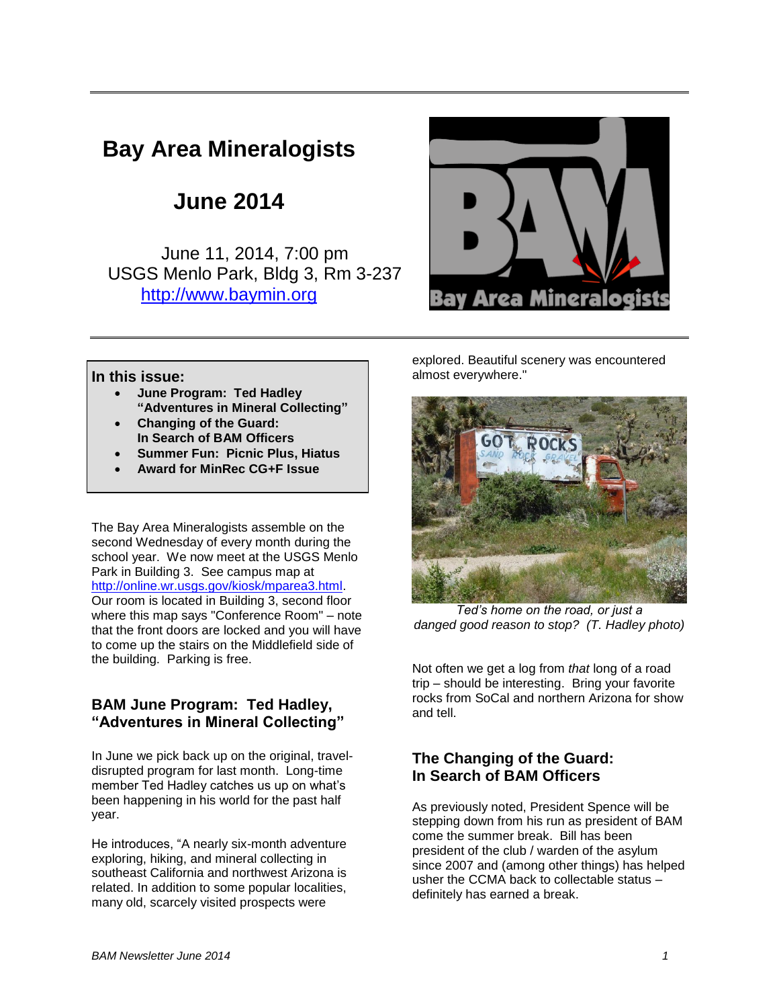# **Bay Area Mineralogists**

**June 2014**

June 11, 2014, 7:00 pm USGS Menlo Park, Bldg 3, Rm 3-237 [http://www.baymin.org](http://www.baymin.org/)



**In this issue:**

- **June Program: Ted Hadley "Adventures in Mineral Collecting"**
- **Changing of the Guard: In Search of BAM Officers**
- **Summer Fun: Picnic Plus, Hiatus**
- **Award for MinRec CG+F Issue**

The Bay Area Mineralogists assemble on the second Wednesday of every month during the school year. We now meet at the USGS Menlo Park in Building 3. See campus map at [http://online.wr.usgs.gov/kiosk/mparea3.html.](http://online.wr.usgs.gov/kiosk/mparea3.html) Our room is located in Building 3, second floor where this map says "Conference Room" – note that the front doors are locked and you will have to come up the stairs on the Middlefield side of the building. Parking is free.

### **BAM June Program: Ted Hadley, "Adventures in Mineral Collecting"**

In June we pick back up on the original, traveldisrupted program for last month. Long-time member Ted Hadley catches us up on what's been happening in his world for the past half year.

He introduces, "A nearly six-month adventure exploring, hiking, and mineral collecting in southeast California and northwest Arizona is related. In addition to some popular localities, many old, scarcely visited prospects were

explored. Beautiful scenery was encountered almost everywhere."



*Ted's home on the road, or just a danged good reason to stop? (T. Hadley photo)*

Not often we get a log from *that* long of a road trip – should be interesting. Bring your favorite rocks from SoCal and northern Arizona for show and tell.

# **The Changing of the Guard: In Search of BAM Officers**

As previously noted, President Spence will be stepping down from his run as president of BAM come the summer break. Bill has been president of the club / warden of the asylum since 2007 and (among other things) has helped usher the CCMA back to collectable status – definitely has earned a break.